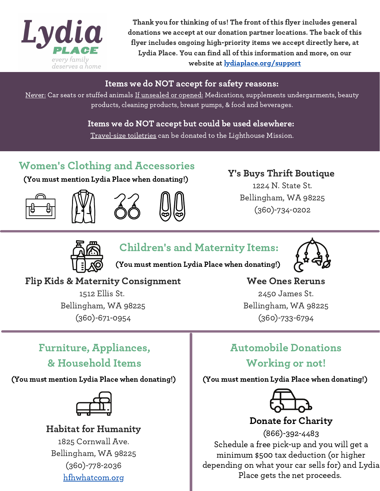

Thank you for thinking of us! The front of this flyer includes general donations we accept at our donation partner locations. The back of this flyer includes ongoing high-priority items we accept directly here, at Lydia Place. You can find all of this information and more, on our website at lydiaplace.org/support

#### Items we do NOT accept for safety reasons:

Never: Car seats or stuffed animals If unsealed or opened: Medications, supplements undergarments, beauty products, cleaning products, breast pumps, & food and beverages.

> Items we do NOT accept but could be used elsewhere: Travel-size toiletries can be donated to the Lighthouse Mission.

## Women's Clothing and Accessories

(You must mention Lydia Place when donating!)







#### Y's Buys Thrift Boutique

1224 N. State St. Bellingham, WA 98225 (360)-734-0202



### Children's and Maternity Items:



(You must mention Lydia Place when donating!)

### Flip Kids & Maternity Consignment

1512 Ellis St. Bellingham, WA 98225 (360)-671-0954

#### Wee Ones Reruns

2450 James St. Bellingham, WA 98225 (360)-733-6794

## Furniture, Appliances, & Household Items

(You must mention Lydia Place when donating!) (You must mention Lydia Place when donating!)



# Habitat for Humanity

1825 Cornwall Ave. Bellingham, WA 98225 (360)-778-2036 hfhwhatcom.org

### Automobile Donations Working or not!



#### Donate for Charity

(866)-392-4483 Schedule a free pick-up and you will get a minimum \$500 tax deduction (or higher depending on what your car sells for) and Lydia Place gets the net proceeds.